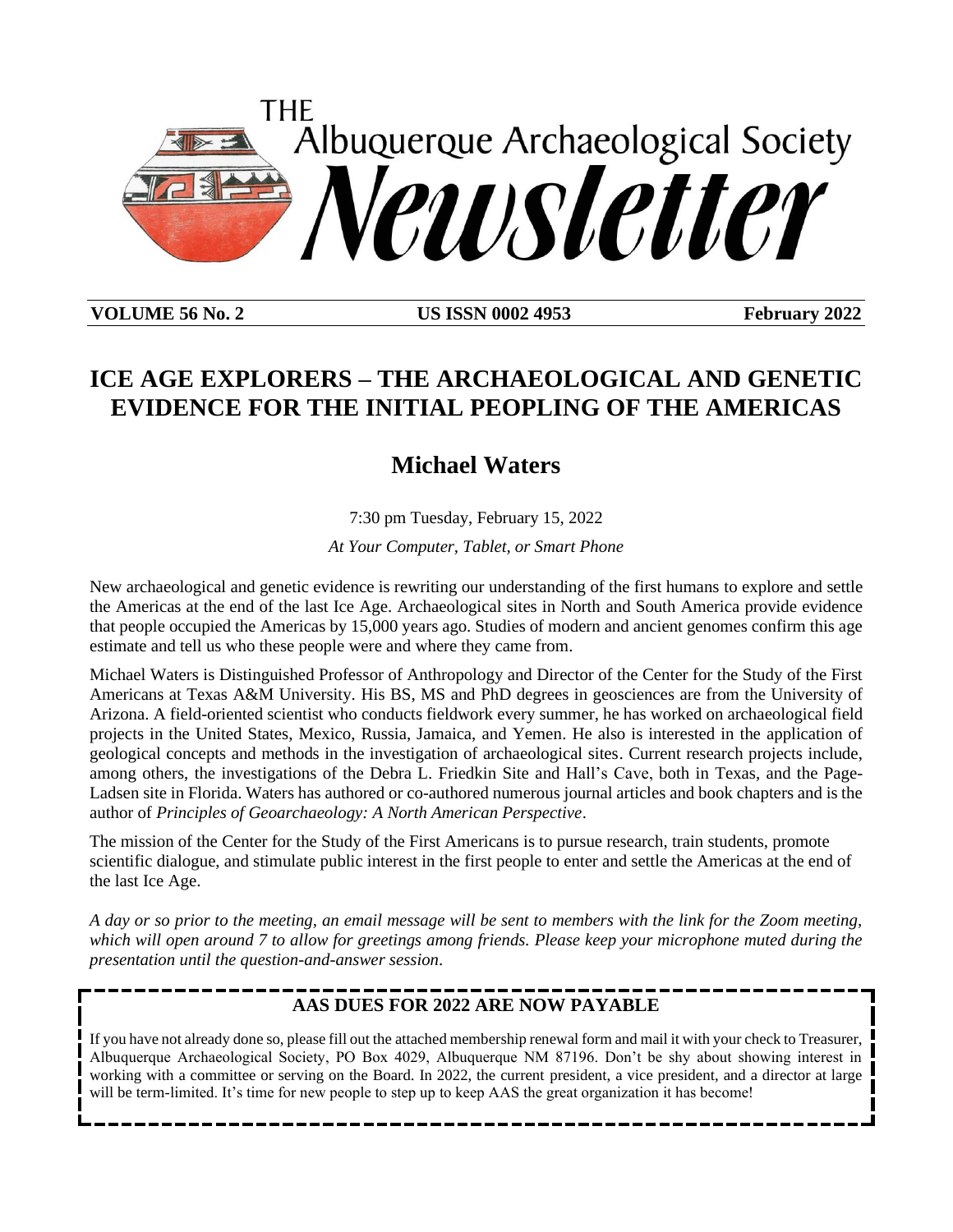

**VOLUME 56 No. 2 US ISSN 0002 4953 February 2022**

# **ICE AGE EXPLORERS – THE ARCHAEOLOGICAL AND GENETIC EVIDENCE FOR THE INITIAL PEOPLING OF THE AMERICAS**

# **Michael Waters**

7:30 pm Tuesday, February 15, 2022

*At Your Computer, Tablet, or Smart Phone*

New archaeological and genetic evidence is rewriting our understanding of the first humans to explore and settle the Americas at the end of the last Ice Age. Archaeological sites in North and South America provide evidence that people occupied the Americas by 15,000 years ago. Studies of modern and ancient genomes confirm this age estimate and tell us who these people were and where they came from.

Michael Waters is Distinguished Professor of Anthropology and Director of the Center for the Study of the First Americans at Texas A&M University. His BS, MS and PhD degrees in geosciences are from the University of Arizona. A field-oriented scientist who conducts fieldwork every summer, he has worked on archaeological field projects in the United States, Mexico, Russia, Jamaica, and Yemen. He also is interested in the application of geological concepts and methods in the investigation of archaeological sites. Current research projects include, among others, the investigations of the Debra L. Friedkin Site and Hall's Cave, both in Texas, and the Page-Ladsen site in Florida. Waters has authored or co-authored numerous journal articles and book chapters and is the author of *Principles of Geoarchaeology: A North American Perspective*.

The mission of the Center for the Study of the First Americans is to pursue research, train students, promote scientific dialogue, and stimulate public interest in the first people to enter and settle the Americas at the end of the last Ice Age.

*A day or so prior to the meeting, an email message will be sent to members with the link for the Zoom meeting, which will open around 7 to allow for greetings among friends. Please keep your microphone muted during the presentation until the question-and-answer session*.

## **AAS DUES FOR 2022 ARE NOW PAYABLE**

If you have not already done so, please fill out the attached membership renewal form and mail it with your check to Treasurer, Albuquerque Archaeological Society, PO Box 4029, Albuquerque NM 87196. Don't be shy about showing interest in working with a committee or serving on the Board. In 2022, the current president, a vice president, and a director at large will be term-limited. It's time for new people to step up to keep AAS the great organization it has become!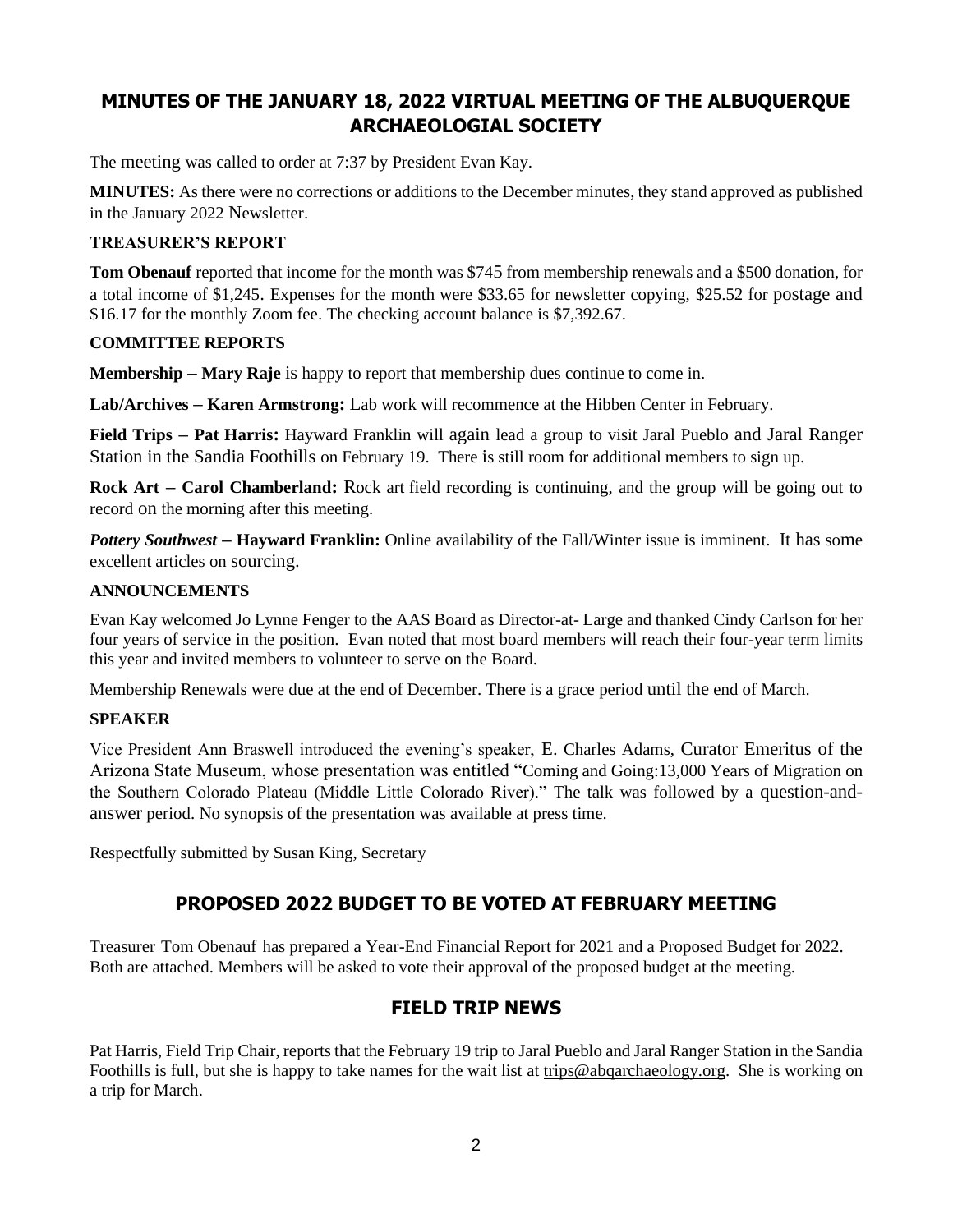# **MINUTES OF THE JANUARY 18, 2022 VIRTUAL MEETING OF THE ALBUQUERQUE ARCHAEOLOGIAL SOCIETY**

The meeting was called to order at 7:37 by President Evan Kay.

**MINUTES:** As there were no corrections or additions to the December minutes, they stand approved as published in the January 2022 Newsletter.

### **TREASURER'S REPORT**

**Tom Obenauf** reported that income for the month was \$745 from membership renewals and a \$500 donation, for a total income of \$1,245. Expenses for the month were \$33.65 for newsletter copying, \$25.52 for postage and \$16.17 for the monthly Zoom fee. The checking account balance is \$7,392.67.

### **COMMITTEE REPORTS**

**Membership – Mary Raje** is happy to report that membership dues continue to come in.

**Lab/Archives – Karen Armstrong:** Lab work will recommence at the Hibben Center in February.

**Field Trips – Pat Harris:** Hayward Franklin will again lead a group to visit Jaral Pueblo and Jaral Ranger Station in the Sandia Foothills on February 19. There is still room for additional members to sign up.

**Rock Art – Carol Chamberland:** Rock art field recording is continuing, and the group will be going out to record on the morning after this meeting.

*Pottery Southwest –* **Hayward Franklin:** Online availability of the Fall/Winter issue is imminent. It has some excellent articles on sourcing.

### **ANNOUNCEMENTS**

Evan Kay welcomed Jo Lynne Fenger to the AAS Board as Director-at- Large and thanked Cindy Carlson for her four years of service in the position. Evan noted that most board members will reach their four-year term limits this year and invited members to volunteer to serve on the Board.

Membership Renewals were due at the end of December. There is a grace period until the end of March.

### **SPEAKER**

Vice President Ann Braswell introduced the evening's speaker, E. Charles Adams, Curator Emeritus of the Arizona State Museum, whose presentation was entitled "Coming and Going:13,000 Years of Migration on the Southern Colorado Plateau (Middle Little Colorado River)." The talk was followed by a question-andanswer period. No synopsis of the presentation was available at press time.

Respectfully submitted by Susan King, Secretary

### **PROPOSED 2022 BUDGET TO BE VOTED AT FEBRUARY MEETING**

Treasurer Tom Obenauf has prepared a Year-End Financial Report for 2021 and a Proposed Budget for 2022. Both are attached. Members will be asked to vote their approval of the proposed budget at the meeting.

### **FIELD TRIP NEWS**

Pat Harris, Field Trip Chair, reports that the February 19 trip to Jaral Pueblo and Jaral Ranger Station in the Sandia Foothills is full, but she is happy to take names for the wait list at [trips@abqarchaeology.org.](mailto:trips@abqarchaeology.org) She is working on a trip for March.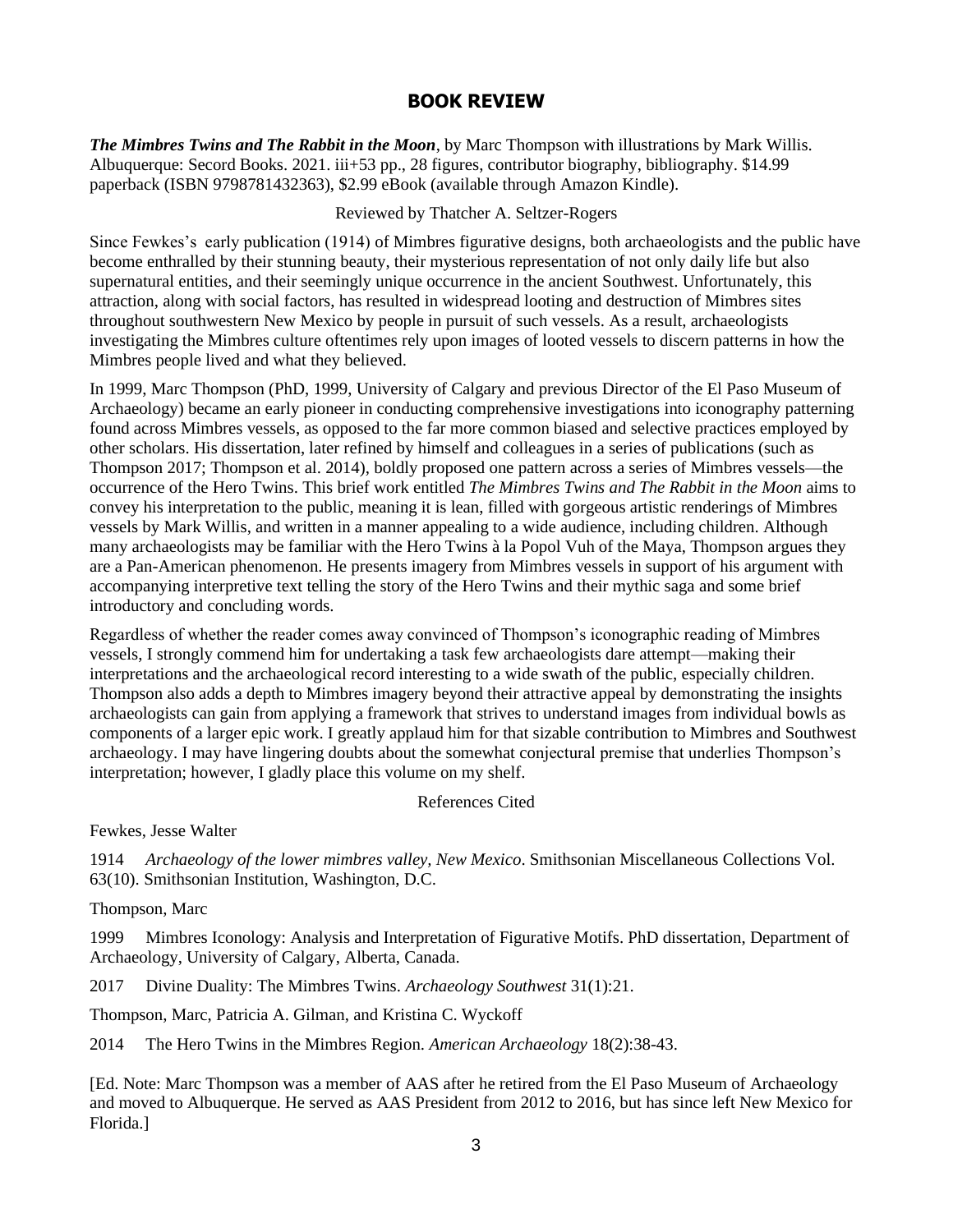## **BOOK REVIEW**

*The Mimbres Twins and The Rabbit in the Moon*, by Marc Thompson with illustrations by Mark Willis. Albuquerque: Secord Books. 2021. iii+53 pp., 28 figures, contributor biography, bibliography. \$14.99 paperback (ISBN 9798781432363), \$2.99 eBook (available through Amazon Kindle).

### Reviewed by Thatcher A. Seltzer-Rogers

Since Fewkes's early publication (1914) of Mimbres figurative designs, both archaeologists and the public have become enthralled by their stunning beauty, their mysterious representation of not only daily life but also supernatural entities, and their seemingly unique occurrence in the ancient Southwest. Unfortunately, this attraction, along with social factors, has resulted in widespread looting and destruction of Mimbres sites throughout southwestern New Mexico by people in pursuit of such vessels. As a result, archaeologists investigating the Mimbres culture oftentimes rely upon images of looted vessels to discern patterns in how the Mimbres people lived and what they believed.

In 1999, Marc Thompson (PhD, 1999, University of Calgary and previous Director of the El Paso Museum of Archaeology) became an early pioneer in conducting comprehensive investigations into iconography patterning found across Mimbres vessels, as opposed to the far more common biased and selective practices employed by other scholars. His dissertation, later refined by himself and colleagues in a series of publications (such as Thompson 2017; Thompson et al. 2014), boldly proposed one pattern across a series of Mimbres vessels—the occurrence of the Hero Twins. This brief work entitled *The Mimbres Twins and The Rabbit in the Moon* aims to convey his interpretation to the public, meaning it is lean, filled with gorgeous artistic renderings of Mimbres vessels by Mark Willis, and written in a manner appealing to a wide audience, including children. Although many archaeologists may be familiar with the Hero Twins à la Popol Vuh of the Maya, Thompson argues they are a Pan-American phenomenon. He presents imagery from Mimbres vessels in support of his argument with accompanying interpretive text telling the story of the Hero Twins and their mythic saga and some brief introductory and concluding words.

Regardless of whether the reader comes away convinced of Thompson's iconographic reading of Mimbres vessels, I strongly commend him for undertaking a task few archaeologists dare attempt—making their interpretations and the archaeological record interesting to a wide swath of the public, especially children. Thompson also adds a depth to Mimbres imagery beyond their attractive appeal by demonstrating the insights archaeologists can gain from applying a framework that strives to understand images from individual bowls as components of a larger epic work. I greatly applaud him for that sizable contribution to Mimbres and Southwest archaeology. I may have lingering doubts about the somewhat conjectural premise that underlies Thompson's interpretation; however, I gladly place this volume on my shelf.

References Cited

Fewkes, Jesse Walter

1914 *Archaeology of the lower mimbres valley, New Mexico*. Smithsonian Miscellaneous Collections Vol. 63(10). Smithsonian Institution, Washington, D.C.

Thompson, Marc

1999 Mimbres Iconology: Analysis and Interpretation of Figurative Motifs. PhD dissertation, Department of Archaeology, University of Calgary, Alberta, Canada.

2017 Divine Duality: The Mimbres Twins. *Archaeology Southwest* 31(1):21.

Thompson, Marc, Patricia A. Gilman, and Kristina C. Wyckoff

2014 The Hero Twins in the Mimbres Region. *American Archaeology* 18(2):38-43.

[Ed. Note: Marc Thompson was a member of AAS after he retired from the El Paso Museum of Archaeology and moved to Albuquerque. He served as AAS President from 2012 to 2016, but has since left New Mexico for Florida.]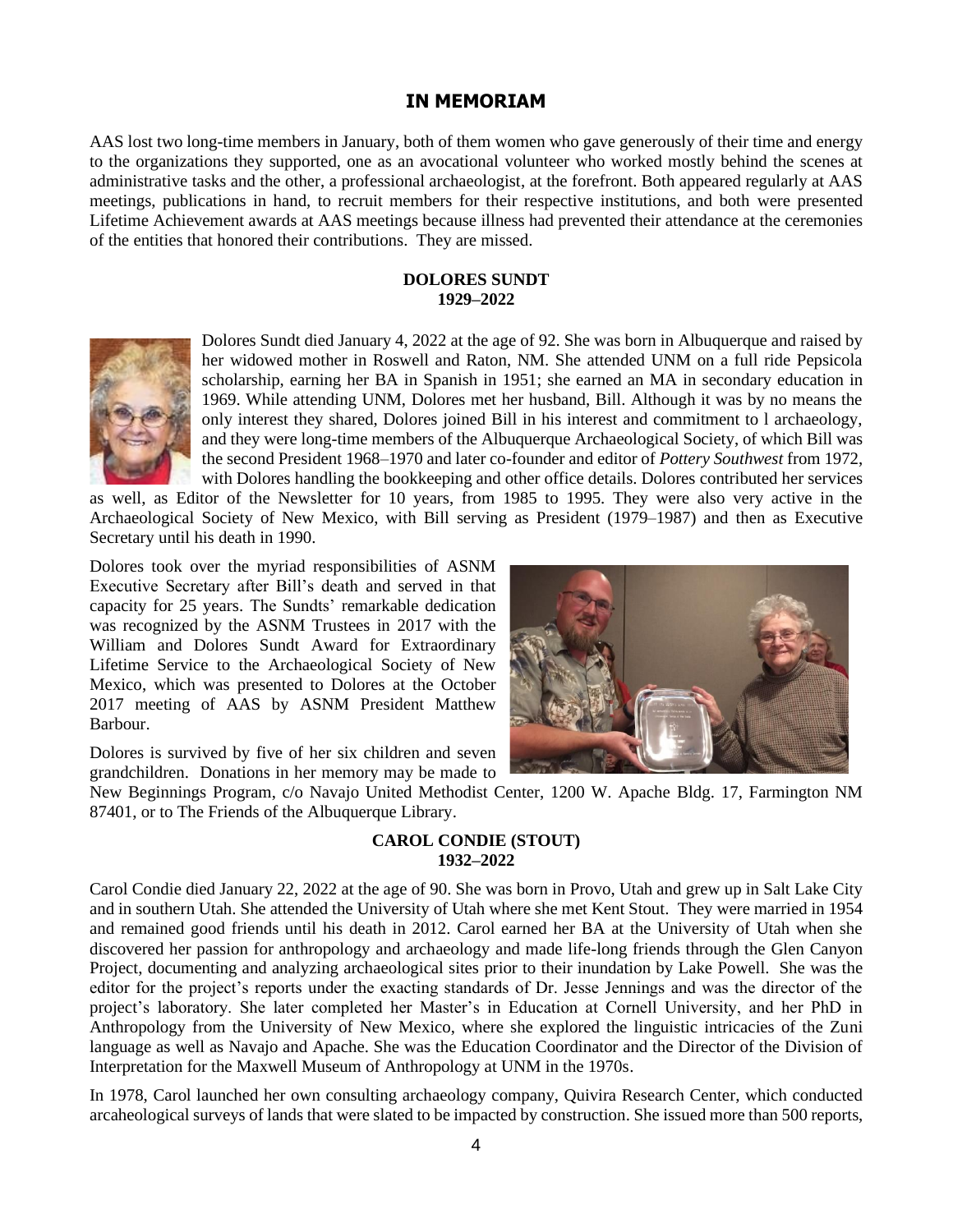### **IN MEMORIAM**

AAS lost two long-time members in January, both of them women who gave generously of their time and energy to the organizations they supported, one as an avocational volunteer who worked mostly behind the scenes at administrative tasks and the other, a professional archaeologist, at the forefront. Both appeared regularly at AAS meetings, publications in hand, to recruit members for their respective institutions, and both were presented Lifetime Achievement awards at AAS meetings because illness had prevented their attendance at the ceremonies of the entities that honored their contributions. They are missed.

#### **DOLORES SUNDT 1929–2022**



Dolores Sundt died January 4, 2022 at the age of 92. She was born in Albuquerque and raised by her widowed mother in Roswell and Raton, NM. She attended UNM on a full ride Pepsicola scholarship, earning her BA in Spanish in 1951; she earned an MA in secondary education in 1969. While attending UNM, Dolores met her husband, Bill. Although it was by no means the only interest they shared, Dolores joined Bill in his interest and commitment to l archaeology, and they were long-time members of the Albuquerque Archaeological Society, of which Bill was the second President 1968–1970 and later co-founder and editor of *Pottery Southwest* from 1972, with Dolores handling the bookkeeping and other office details. Dolores contributed her services

as well, as Editor of the Newsletter for 10 years, from 1985 to 1995. They were also very active in the Archaeological Society of New Mexico, with Bill serving as President (1979–1987) and then as Executive Secretary until his death in 1990.

Dolores took over the myriad responsibilities of ASNM Executive Secretary after Bill's death and served in that capacity for 25 years. The Sundts' remarkable dedication was recognized by the ASNM Trustees in 2017 with the William and Dolores Sundt Award for Extraordinary Lifetime Service to the Archaeological Society of New Mexico, which was presented to Dolores at the October 2017 meeting of AAS by ASNM President Matthew Barbour.



Dolores is survived by five of her six children and seven grandchildren. Donations in her memory may be made to

New Beginnings Program, c/o Navajo United Methodist Center, 1200 W. Apache Bldg. 17, Farmington NM 87401, or to The Friends of the Albuquerque Library.

#### **CAROL CONDIE (STOUT) 1932–2022**

Carol Condie died January 22, 2022 at the age of 90. She was born in Provo, Utah and grew up in Salt Lake City and in southern Utah. She attended the University of Utah where she met Kent Stout. They were married in 1954 and remained good friends until his death in 2012. Carol earned her BA at the University of Utah when she discovered her passion for anthropology and archaeology and made life-long friends through the Glen Canyon Project, documenting and analyzing archaeological sites prior to their inundation by Lake Powell. She was the editor for the project's reports under the exacting standards of Dr. Jesse Jennings and was the director of the project's laboratory. She later completed her Master's in Education at Cornell University, and her PhD in Anthropology from the University of New Mexico, where she explored the linguistic intricacies of the Zuni language as well as Navajo and Apache. She was the Education Coordinator and the Director of the Division of Interpretation for the Maxwell Museum of Anthropology at UNM in the 1970s.

In 1978, Carol launched her own consulting archaeology company, Quivira Research Center, which conducted arcaheological surveys of lands that were slated to be impacted by construction. She issued more than 500 reports,